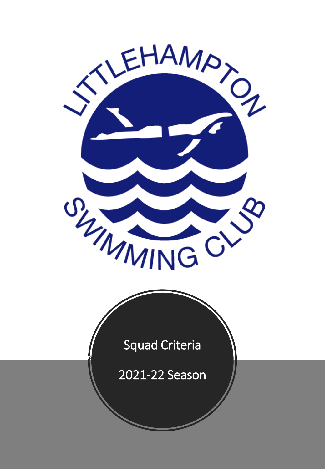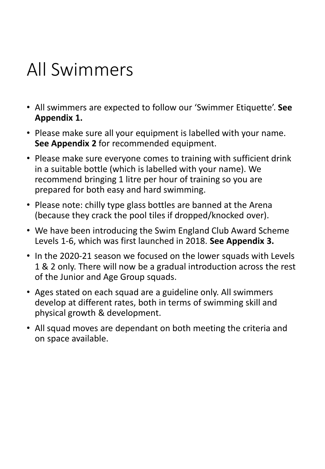# All Swimmers

- All swimmers are expected to follow our 'Swimmer Etiquette'. **See Appendix 1.**
- Please make sure all your equipment is labelled with your name. **See Appendix 2** for recommended equipment.
- Please make sure everyone comes to training with sufficient drink in a suitable bottle (which is labelled with your name). We recommend bringing 1 litre per hour of training so you are prepared for both easy and hard swimming.
- Please note: chilly type glass bottles are banned at the Arena (because they crack the pool tiles if dropped/knocked over).
- We have been introducing the Swim England Club Award Scheme Levels 1-6, which was first launched in 2018. **See Appendix 3.**
- In the 2020-21 season we focused on the lower squads with Levels 1 & 2 only. There will now be a gradual introduction across the rest of the Junior and Age Group squads.
- Ages stated on each squad are a guideline only. All swimmers develop at different rates, both in terms of swimming skill and physical growth & development.
- All squad moves are dependant on both meeting the criteria and on space available.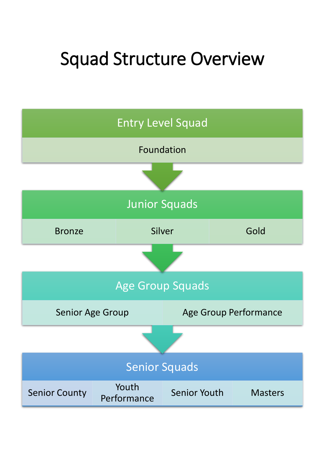# Squad Structure Overview

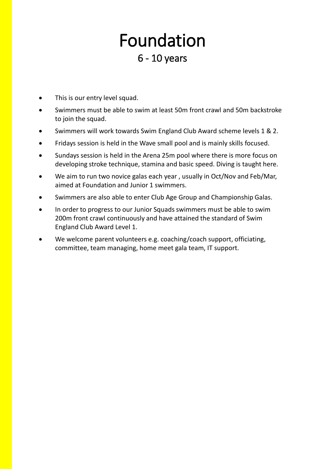## Foundation 6 - 10 years

- This is our entry level squad.
- Swimmers must be able to swim at least 50m front crawl and 50m backstroke to join the squad.
- Swimmers will work towards Swim England Club Award scheme levels 1 & 2.
- Fridays session is held in the Wave small pool and is mainly skills focused.
- Sundays session is held in the Arena 25m pool where there is more focus on developing stroke technique, stamina and basic speed. Diving is taught here.
- We aim to run two novice galas each year , usually in Oct/Nov and Feb/Mar, aimed at Foundation and Junior 1 swimmers.
- Swimmers are also able to enter Club Age Group and Championship Galas.
- In order to progress to our Junior Squads swimmers must be able to swim 200m front crawl continuously and have attained the standard of Swim England Club Award Level 1.
- We welcome parent volunteers e.g. coaching/coach support, officiating, committee, team managing, home meet gala team, IT support.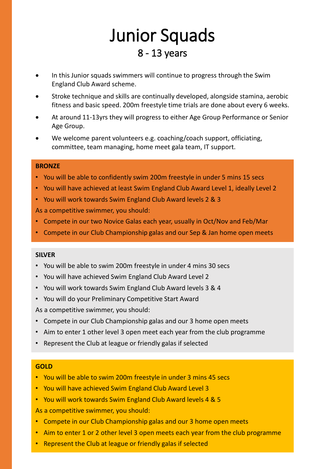## Junior Squads 8 - 13 years

- In this Junior squads swimmers will continue to progress through the Swim England Club Award scheme.
- Stroke technique and skills are continually developed, alongside stamina, aerobic fitness and basic speed. 200m freestyle time trials are done about every 6 weeks.
- At around 11-13yrs they will progress to either Age Group Performance or Senior Age Group.
- We welcome parent volunteers e.g. coaching/coach support, officiating, committee, team managing, home meet gala team, IT support.

#### **BRONZE**

- You will be able to confidently swim 200m freestyle in under 5 mins 15 secs
- You will have achieved at least Swim England Club Award Level 1, ideally Level 2
- You will work towards Swim England Club Award levels 2 & 3

As a competitive swimmer, you should:

- Compete in our two Novice Galas each year, usually in Oct/Nov and Feb/Mar
- Compete in our Club Championship galas and our Sep & Jan home open meets

#### **SILVER**

- You will be able to swim 200m freestyle in under 4 mins 30 secs
- You will have achieved Swim England Club Award Level 2
- You will work towards Swim England Club Award levels 3 & 4
- You will do your Preliminary Competitive Start Award

As a competitive swimmer, you should:

- Compete in our Club Championship galas and our 3 home open meets
- Aim to enter 1 other level 3 open meet each year from the club programme
- Represent the Club at league or friendly galas if selected

#### **GOLD**

- You will be able to swim 200m freestyle in under 3 mins 45 secs
- You will have achieved Swim England Club Award Level 3
- You will work towards Swim England Club Award levels 4 & 5

As a competitive swimmer, you should:

- Compete in our Club Championship galas and our 3 home open meets
- Aim to enter 1 or 2 other level 3 open meets each year from the club programme
- Represent the Club at league or friendly galas if selected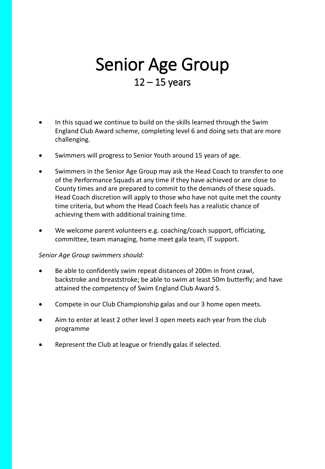### Senior Age Group  $12 - 15$  years

- In this squad we continue to build on the skills learned through the Swim England Club Award scheme, completing level 6 and doing sets that are more challenging.
- Swimmers will progress to Senior Youth around 15 years of age.
- Swimmers in the Senior Age Group may ask the Head Coach to transfer to one of the Performance Squads at any time if they have achieved or are close to County times and are prepared to commit to the demands of these squads. Head Coach discretion will apply to those who have not quite met the county time criteria, but whom the Head Coach feels has a realistic chance of achieving them with additional training time.
- We welcome parent volunteers e.g. coaching/coach support, officiating, committee, team managing, home meet gala team, IT support.

#### *Senior Age Group swimmers should:*

- Be able to confidently swim repeat distances of 200m in front crawl, backstroke and breaststroke; be able to swim at least 50m butterfly; and have attained the competency of Swim England Club Award 5.
- Compete in our Club Championship galas and our 3 home open meets.
- Aim to enter at least 2 other level 3 open meets each year from the club programme
- Represent the Club at league or friendly galas if selected.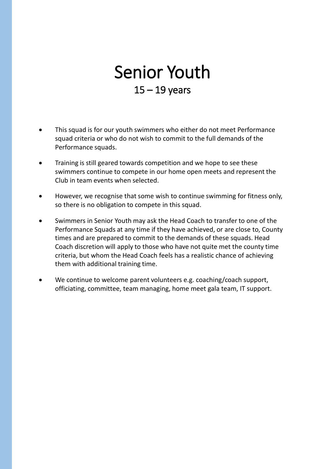## Senior Youth  $15 - 19$  years

- This squad is for our youth swimmers who either do not meet Performance squad criteria or who do not wish to commit to the full demands of the Performance squads.
- Training is still geared towards competition and we hope to see these swimmers continue to compete in our home open meets and represent the Club in team events when selected.
- However, we recognise that some wish to continue swimming for fitness only, so there is no obligation to compete in this squad.
- Swimmers in Senior Youth may ask the Head Coach to transfer to one of the Performance Squads at any time if they have achieved, or are close to, County times and are prepared to commit to the demands of these squads. Head Coach discretion will apply to those who have not quite met the county time criteria, but whom the Head Coach feels has a realistic chance of achieving them with additional training time.
- We continue to welcome parent volunteers e.g. coaching/coach support, officiating, committee, team managing, home meet gala team, IT support.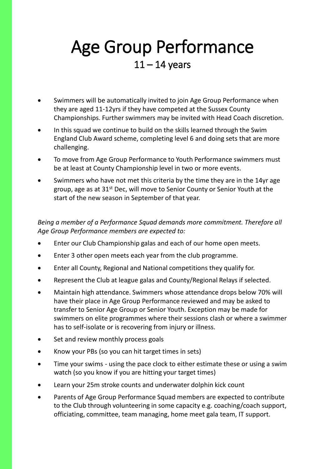### Age Group Performance  $11 - 14$  years

- Swimmers will be automatically invited to join Age Group Performance when they are aged 11-12yrs if they have competed at the Sussex County Championships. Further swimmers may be invited with Head Coach discretion.
- In this squad we continue to build on the skills learned through the Swim England Club Award scheme, completing level 6 and doing sets that are more challenging.
- To move from Age Group Performance to Youth Performance swimmers must be at least at County Championship level in two or more events.
- Swimmers who have not met this criteria by the time they are in the 14yr age group, age as at 31<sup>st</sup> Dec, will move to Senior County or Senior Youth at the start of the new season in September of that year.

#### *Being a member of a Performance Squad demands more commitment. Therefore all Age Group Performance members are expected to:*

- Enter our Club Championship galas and each of our home open meets.
- Enter 3 other open meets each year from the club programme.
- Enter all County, Regional and National competitions they qualify for.
- Represent the Club at league galas and County/Regional Relays if selected.
- Maintain high attendance. Swimmers whose attendance drops below 70% will have their place in Age Group Performance reviewed and may be asked to transfer to Senior Age Group or Senior Youth. Exception may be made for swimmers on elite programmes where their sessions clash or where a swimmer has to self-isolate or is recovering from injury or illness.
- Set and review monthly process goals
- Know your PBs (so you can hit target times in sets)
- Time your swims using the pace clock to either estimate these or using a swim watch (so you know if you are hitting your target times)
- Learn your 25m stroke counts and underwater dolphin kick count
- Parents of Age Group Performance Squad members are expected to contribute to the Club through volunteering in some capacity e.g. coaching/coach support, officiating, committee, team managing, home meet gala team, IT support.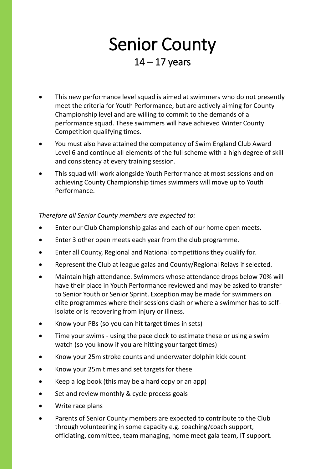### Senior County  $14 - 17$  years

- This new performance level squad is aimed at swimmers who do not presently meet the criteria for Youth Performance, but are actively aiming for County Championship level and are willing to commit to the demands of a performance squad. These swimmers will have achieved Winter County Competition qualifying times.
- You must also have attained the competency of Swim England Club Award Level 6 and continue all elements of the full scheme with a high degree of skill and consistency at every training session.
- This squad will work alongside Youth Performance at most sessions and on achieving County Championship times swimmers will move up to Youth Performance.

#### *Therefore all Senior County members are expected to:*

- Enter our Club Championship galas and each of our home open meets.
- Enter 3 other open meets each year from the club programme.
- Enter all County, Regional and National competitions they qualify for.
- Represent the Club at league galas and County/Regional Relays if selected.
- Maintain high attendance. Swimmers whose attendance drops below 70% will have their place in Youth Performance reviewed and may be asked to transfer to Senior Youth or Senior Sprint. Exception may be made for swimmers on elite programmes where their sessions clash or where a swimmer has to selfisolate or is recovering from injury or illness.
- Know your PBs (so you can hit target times in sets)
- Time your swims using the pace clock to estimate these or using a swim watch (so you know if you are hitting your target times)
- Know your 25m stroke counts and underwater dolphin kick count
- Know your 25m times and set targets for these
- Keep a log book (this may be a hard copy or an app)
- Set and review monthly & cycle process goals
- Write race plans
- Parents of Senior County members are expected to contribute to the Club through volunteering in some capacity e.g. coaching/coach support, officiating, committee, team managing, home meet gala team, IT support.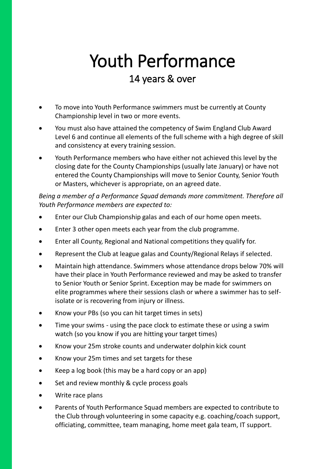## Youth Performance 14 years & over

- To move into Youth Performance swimmers must be currently at County Championship level in two or more events.
- You must also have attained the competency of Swim England Club Award Level 6 and continue all elements of the full scheme with a high degree of skill and consistency at every training session.
- Youth Performance members who have either not achieved this level by the closing date for the County Championships (usually late January) or have not entered the County Championships will move to Senior County, Senior Youth or Masters, whichever is appropriate, on an agreed date.

*Being a member of a Performance Squad demands more commitment. Therefore all Youth Performance members are expected to:*

- Enter our Club Championship galas and each of our home open meets.
- Enter 3 other open meets each year from the club programme.
- Enter all County, Regional and National competitions they qualify for.
- Represent the Club at league galas and County/Regional Relays if selected.
- Maintain high attendance. Swimmers whose attendance drops below 70% will have their place in Youth Performance reviewed and may be asked to transfer to Senior Youth or Senior Sprint. Exception may be made for swimmers on elite programmes where their sessions clash or where a swimmer has to selfisolate or is recovering from injury or illness.
- Know your PBs (so you can hit target times in sets)
- Time your swims using the pace clock to estimate these or using a swim watch (so you know if you are hitting your target times)
- Know your 25m stroke counts and underwater dolphin kick count
- Know your 25m times and set targets for these
- Keep a log book (this may be a hard copy or an app)
- Set and review monthly & cycle process goals
- Write race plans
- Parents of Youth Performance Squad members are expected to contribute to the Club through volunteering in some capacity e.g. coaching/coach support, officiating, committee, team managing, home meet gala team, IT support.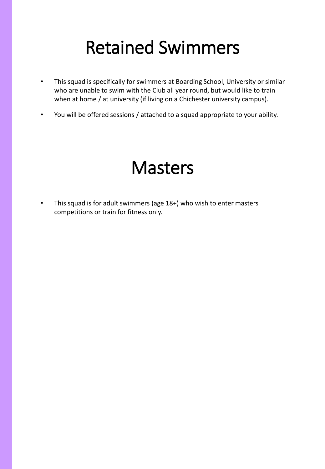# Retained Swimmers

- This squad is specifically for swimmers at Boarding School, University or similar who are unable to swim with the Club all year round, but would like to train when at home / at university (if living on a Chichester university campus).
- You will be offered sessions / attached to a squad appropriate to your ability.

## **Masters**

• This squad is for adult swimmers (age 18+) who wish to enter masters competitions or train for fitness only.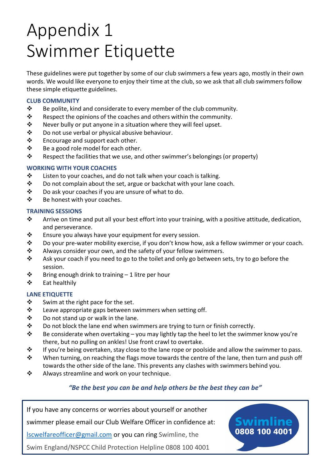# Appendix 1 Swimmer Etiquette

These guidelines were put together by some of our club swimmers a few years ago, mostly in their own words. We would like everyone to enjoy their time at the club, so we ask that all club swimmers follow these simple etiquette guidelines.

#### **CLUB COMMUNITY**

- ❖ Be polite, kind and considerate to every member of the club community.
- ❖ Respect the opinions of the coaches and others within the community.
- ❖ Never bully or put anyone in a situation where they will feel upset.
- ❖ Do not use verbal or physical abusive behaviour.
- ❖ Encourage and support each other.
- ❖ Be a good role model for each other.
- ❖ Respect the facilities that we use, and other swimmer's belongings (or property)

#### **WORKING WITH YOUR COACHES**

- ❖ Listen to your coaches, and do not talk when your coach is talking.
- ❖ Do not complain about the set, argue or backchat with your lane coach.
- ❖ Do ask your coaches if you are unsure of what to do.
- ❖ Be honest with your coaches.

#### **TRAINING SESSIONS**

- ❖ Arrive on time and put all your best effort into your training, with a positive attitude, dedication, and perseverance.
- ❖ Ensure you always have your equipment for every session.
- ❖ Do your pre-water mobility exercise, if you don't know how, ask a fellow swimmer or your coach.
- ❖ Always consider your own, and the safety of your fellow swimmers.
- $\dots$  Ask your coach if you need to go to the toilet and only go between sets, try to go before the session.
- $\mathbf{\hat{P}}$  Bring enough drink to training 1 litre per hour
- ❖ Eat healthily

#### **LANE ETIQUETTE**

- ❖ Swim at the right pace for the set.
- ❖ Leave appropriate gaps between swimmers when setting off.
- ❖ Do not stand up or walk in the lane.
- ❖ Do not block the lane end when swimmers are trying to turn or finish correctly.
- $\dots$  Be considerate when overtaking you may lightly tap the heel to let the swimmer know you're there, but no pulling on ankles! Use front crawl to overtake.
- ❖ If you're being overtaken, stay close to the lane rope or poolside and allow the swimmer to pass.
- ◆ When turning, on reaching the flags move towards the centre of the lane, then turn and push off towards the other side of the lane. This prevents any clashes with swimmers behind you.
- ❖ Always streamline and work on your technique.

#### *"Be the best you can be and help others be the best they can be"*

If you have any concerns or worries about yourself or another swimmer please email our Club Welfare Officer in confidence at: **Iscwelfareofficer@gmail.com** or you can ring Swimline, the Swim England/NSPCC Child Protection Helpline 0808 100 4001

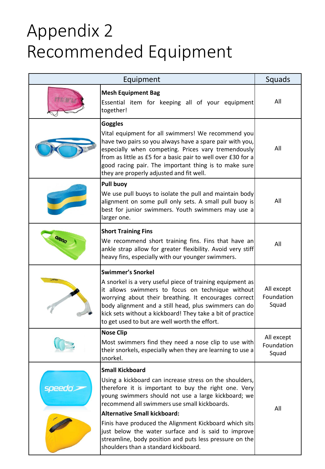# Appendix 2 Recommended Equipment

| Equipment |                                                                                                                                                                                                                                                                                                                                                                            | Squads                            |
|-----------|----------------------------------------------------------------------------------------------------------------------------------------------------------------------------------------------------------------------------------------------------------------------------------------------------------------------------------------------------------------------------|-----------------------------------|
|           | <b>Mesh Equipment Bag</b><br>Essential item for keeping all of your equipment<br>together!                                                                                                                                                                                                                                                                                 | All                               |
|           | <b>Goggles</b><br>Vital equipment for all swimmers! We recommend you<br>have two pairs so you always have a spare pair with you,<br>especially when competing. Prices vary tremendously<br>from as little as £5 for a basic pair to well over £30 for a<br>good racing pair. The important thing is to make sure<br>they are properly adjusted and fit well.               | All                               |
|           | <b>Pull buoy</b><br>We use pull buoys to isolate the pull and maintain body<br>alignment on some pull only sets. A small pull buoy is<br>best for junior swimmers. Youth swimmers may use a<br>larger one.                                                                                                                                                                 | All                               |
|           | <b>Short Training Fins</b><br>We recommend short training fins. Fins that have an<br>ankle strap allow for greater flexibility. Avoid very stiff<br>heavy fins, especially with our younger swimmers.                                                                                                                                                                      | All                               |
|           | <b>Swimmer's Snorkel</b><br>A snorkel is a very useful piece of training equipment as<br>it allows swimmers to focus on technique without<br>worrying about their breathing. It encourages correct<br>body alignment and a still head, plus swimmers can do<br>kick sets without a kickboard! They take a bit of practice<br>to get used to but are well worth the effort. | All except<br>Foundation<br>Squad |
|           | <b>Nose Clip</b><br>Most swimmers find they need a nose clip to use with<br>their snorkels, especially when they are learning to use a<br>snorkel.                                                                                                                                                                                                                         | All except<br>Foundation<br>Squad |
| speedo`>  | <b>Small Kickboard</b><br>Using a kickboard can increase stress on the shoulders,<br>therefore it is important to buy the right one. Very<br>young swimmers should not use a large kickboard; we<br>recommend all swimmers use small kickboards.<br><b>Alternative Small kickboard:</b>                                                                                    | All                               |
|           | Finis have produced the Alignment Kickboard which sits<br>just below the water surface and is said to improve<br>streamline, body position and puts less pressure on the<br>shoulders than a standard kickboard.                                                                                                                                                           |                                   |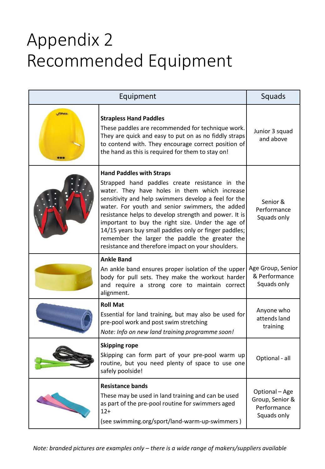# Appendix 2 Recommended Equipment

| Equipment    |                                                                                                                                                                                                                                                                                                                                                                                                                                                                                                                              | Squads                                                          |
|--------------|------------------------------------------------------------------------------------------------------------------------------------------------------------------------------------------------------------------------------------------------------------------------------------------------------------------------------------------------------------------------------------------------------------------------------------------------------------------------------------------------------------------------------|-----------------------------------------------------------------|
| <b>FINIS</b> | <b>Strapless Hand Paddles</b><br>These paddles are recommended for technique work.<br>They are quick and easy to put on as no fiddly straps<br>to contend with. They encourage correct position of<br>the hand as this is required for them to stay on!                                                                                                                                                                                                                                                                      | Junior 3 squad<br>and above                                     |
|              | <b>Hand Paddles with Straps</b><br>Strapped hand paddles create resistance in the<br>water. They have holes in them which increase<br>sensitivity and help swimmers develop a feel for the<br>water. For youth and senior swimmers, the added<br>resistance helps to develop strength and power. It is<br>important to buy the right size. Under the age of<br>14/15 years buy small paddles only or finger paddles;<br>remember the larger the paddle the greater the<br>resistance and therefore impact on your shoulders. | Senior &<br>Performance<br>Squads only                          |
|              | <b>Ankle Band</b><br>An ankle band ensures proper isolation of the upper<br>body for pull sets. They make the workout harder<br>and require a strong core to maintain correct<br>alignment.                                                                                                                                                                                                                                                                                                                                  | Age Group, Senior<br>& Performance<br>Squads only               |
|              | <b>Roll Mat</b><br>Essential for land training, but may also be used for<br>pre-pool work and post swim stretching<br>Note: Info on new land training programme soon!                                                                                                                                                                                                                                                                                                                                                        | Anyone who<br>attends land<br>training                          |
|              | <b>Skipping rope</b><br>Skipping can form part of your pre-pool warm up<br>routine, but you need plenty of space to use one<br>safely poolside!                                                                                                                                                                                                                                                                                                                                                                              | Optional - all                                                  |
|              | <b>Resistance bands</b><br>These may be used in land training and can be used<br>as part of the pre-pool routine for swimmers aged<br>$12+$<br>(see swimming.org/sport/land-warm-up-swimmers)                                                                                                                                                                                                                                                                                                                                | Optional - Age<br>Group, Senior &<br>Performance<br>Squads only |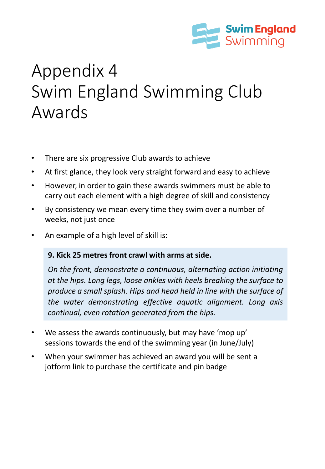

# Appendix 4 Swim England Swimming Club Awards

- There are six progressive Club awards to achieve
- At first glance, they look very straight forward and easy to achieve
- However, in order to gain these awards swimmers must be able to carry out each element with a high degree of skill and consistency
- By consistency we mean every time they swim over a number of weeks, not just once
- An example of a high level of skill is:

#### **9. Kick 25 metres front crawl with arms at side.**

*On the front, demonstrate a continuous, alternating action initiating at the hips. Long legs, loose ankles with heels breaking the surface to produce a small splash. Hips and head held in line with the surface of the water demonstrating effective aquatic alignment. Long axis continual, even rotation generated from the hips.*

- We assess the awards continuously, but may have 'mop up' sessions towards the end of the swimming year (in June/July)
- When your swimmer has achieved an award you will be sent a jotform link to purchase the certificate and pin badge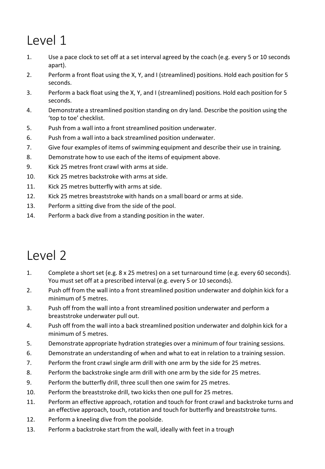- 1. Use a pace clock to set off at a set interval agreed by the coach (e.g. every 5 or 10 seconds apart).
- 2. Perform a front float using the X, Y, and I (streamlined) positions. Hold each position for 5 seconds.
- 3. Perform a back float using the X, Y, and I (streamlined) positions. Hold each position for 5 seconds.
- 4. Demonstrate a streamlined position standing on dry land. Describe the position using the 'top to toe' checklist.
- 5. Push from a wall into a front streamlined position underwater.
- 6. Push from a wall into a back streamlined position underwater.
- 7. Give four examples of items of swimming equipment and describe their use in training.
- 8. Demonstrate how to use each of the items of equipment above.
- 9. Kick 25 metres front crawl with arms at side.
- 10. Kick 25 metres backstroke with arms at side.
- 11. Kick 25 metres butterfly with arms at side.
- 12. Kick 25 metres breaststroke with hands on a small board or arms at side.
- 13. Perform a sitting dive from the side of the pool.
- 14. Perform a back dive from a standing position in the water.

- 1. Complete a short set (e.g. 8 x 25 metres) on a set turnaround time (e.g. every 60 seconds). You must set off at a prescribed interval (e.g. every 5 or 10 seconds).
- 2. Push off from the wall into a front streamlined position underwater and dolphin kick for a minimum of 5 metres.
- 3. Push off from the wall into a front streamlined position underwater and perform a breaststroke underwater pull out.
- 4. Push off from the wall into a back streamlined position underwater and dolphin kick for a minimum of 5 metres.
- 5. Demonstrate appropriate hydration strategies over a minimum of four training sessions.
- 6. Demonstrate an understanding of when and what to eat in relation to a training session.
- 7. Perform the front crawl single arm drill with one arm by the side for 25 metres.
- 8. Perform the backstroke single arm drill with one arm by the side for 25 metres.
- 9. Perform the butterfly drill, three scull then one swim for 25 metres.
- 10. Perform the breaststroke drill, two kicks then one pull for 25 metres.
- 11. Perform an effective approach, rotation and touch for front crawl and backstroke turns and an effective approach, touch, rotation and touch for butterfly and breaststroke turns.
- 12. Perform a kneeling dive from the poolside.
- 13. Perform a backstroke start from the wall, ideally with feet in a trough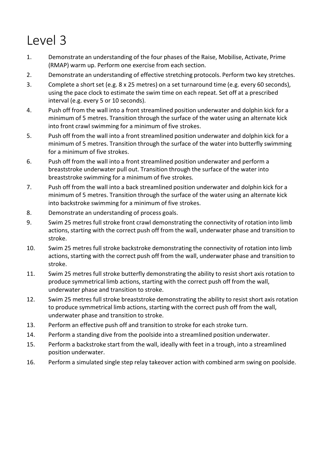- 1. Demonstrate an understanding of the four phases of the Raise, Mobilise, Activate, Prime (RMAP) warm up. Perform one exercise from each section.
- 2. Demonstrate an understanding of effective stretching protocols. Perform two key stretches.
- 3. Complete a short set (e.g. 8 x 25 metres) on a set turnaround time (e.g. every 60 seconds), using the pace clock to estimate the swim time on each repeat. Set off at a prescribed interval (e.g. every 5 or 10 seconds).
- 4. Push off from the wall into a front streamlined position underwater and dolphin kick for a minimum of 5 metres. Transition through the surface of the water using an alternate kick into front crawl swimming for a minimum of five strokes.
- 5. Push off from the wall into a front streamlined position underwater and dolphin kick for a minimum of 5 metres. Transition through the surface of the water into butterfly swimming for a minimum of five strokes.
- 6. Push off from the wall into a front streamlined position underwater and perform a breaststroke underwater pull out. Transition through the surface of the water into breaststroke swimming for a minimum of five strokes.
- 7. Push off from the wall into a back streamlined position underwater and dolphin kick for a minimum of 5 metres. Transition through the surface of the water using an alternate kick into backstroke swimming for a minimum of five strokes.
- 8. Demonstrate an understanding of process goals.
- 9. Swim 25 metres full stroke front crawl demonstrating the connectivity of rotation into limb actions, starting with the correct push off from the wall, underwater phase and transition to stroke.
- 10. Swim 25 metres full stroke backstroke demonstrating the connectivity of rotation into limb actions, starting with the correct push off from the wall, underwater phase and transition to stroke.
- 11. Swim 25 metres full stroke butterfly demonstrating the ability to resist short axis rotation to produce symmetrical limb actions, starting with the correct push off from the wall, underwater phase and transition to stroke.
- 12. Swim 25 metres full stroke breaststroke demonstrating the ability to resist short axis rotation to produce symmetrical limb actions, starting with the correct push off from the wall, underwater phase and transition to stroke.
- 13. Perform an effective push off and transition to stroke for each stroke turn.
- 14. Perform a standing dive from the poolside into a streamlined position underwater.
- 15. Perform a backstroke start from the wall, ideally with feet in a trough, into a streamlined position underwater.
- 16. Perform a simulated single step relay takeover action with combined arm swing on poolside.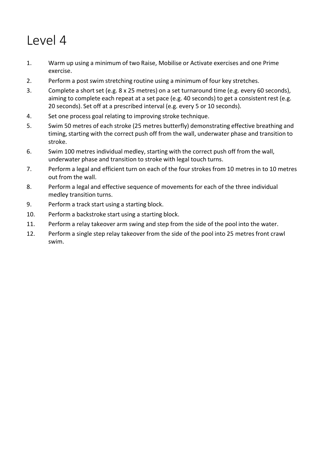- 1. Warm up using a minimum of two Raise, Mobilise or Activate exercises and one Prime exercise.
- 2. Perform a post swim stretching routine using a minimum of four key stretches.
- 3. Complete a short set (e.g. 8 x 25 metres) on a set turnaround time (e.g. every 60 seconds), aiming to complete each repeat at a set pace (e.g. 40 seconds) to get a consistent rest (e.g. 20 seconds). Set off at a prescribed interval (e.g. every 5 or 10 seconds).
- 4. Set one process goal relating to improving stroke technique.
- 5. Swim 50 metres of each stroke (25 metres butterfly) demonstrating effective breathing and timing, starting with the correct push off from the wall, underwater phase and transition to stroke.
- 6. Swim 100 metres individual medley, starting with the correct push off from the wall, underwater phase and transition to stroke with legal touch turns.
- 7. Perform a legal and efficient turn on each of the four strokes from 10 metres in to 10 metres out from the wall.
- 8. Perform a legal and effective sequence of movements for each of the three individual medley transition turns.
- 9. Perform a track start using a starting block.
- 10. Perform a backstroke start using a starting block.
- 11. Perform a relay takeover arm swing and step from the side of the pool into the water.
- 12. Perform a single step relay takeover from the side of the pool into 25 metres front crawl swim.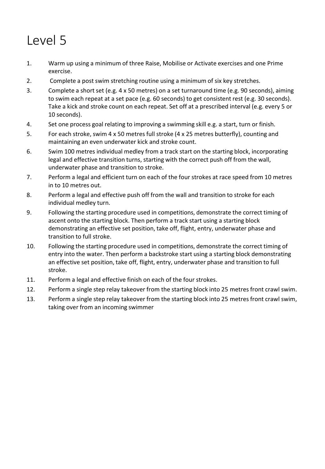- 1. Warm up using a minimum of three Raise, Mobilise or Activate exercises and one Prime exercise.
- 2. Complete a post swim stretching routine using a minimum of six key stretches.
- 3. Complete a short set (e.g. 4 x 50 metres) on a set turnaround time (e.g. 90 seconds), aiming to swim each repeat at a set pace (e.g. 60 seconds) to get consistent rest (e.g. 30 seconds). Take a kick and stroke count on each repeat. Set off at a prescribed interval (e.g. every 5 or 10 seconds).
- 4. Set one process goal relating to improving a swimming skill e.g. a start, turn or finish.
- 5. For each stroke, swim 4 x 50 metres full stroke (4 x 25 metres butterfly), counting and maintaining an even underwater kick and stroke count.
- 6. Swim 100 metres individual medley from a track start on the starting block, incorporating legal and effective transition turns, starting with the correct push off from the wall, underwater phase and transition to stroke.
- 7. Perform a legal and efficient turn on each of the four strokes at race speed from 10 metres in to 10 metres out.
- 8. Perform a legal and effective push off from the wall and transition to stroke for each individual medley turn.
- 9. Following the starting procedure used in competitions, demonstrate the correct timing of ascent onto the starting block. Then perform a track start using a starting block demonstrating an effective set position, take off, flight, entry, underwater phase and transition to full stroke.
- 10. Following the starting procedure used in competitions, demonstrate the correct timing of entry into the water. Then perform a backstroke start using a starting block demonstrating an effective set position, take off, flight, entry, underwater phase and transition to full stroke.
- 11. Perform a legal and effective finish on each of the four strokes.
- 12. Perform a single step relay takeover from the starting block into 25 metres front crawl swim.
- 13. Perform a single step relay takeover from the starting block into 25 metres front crawl swim, taking over from an incoming swimmer